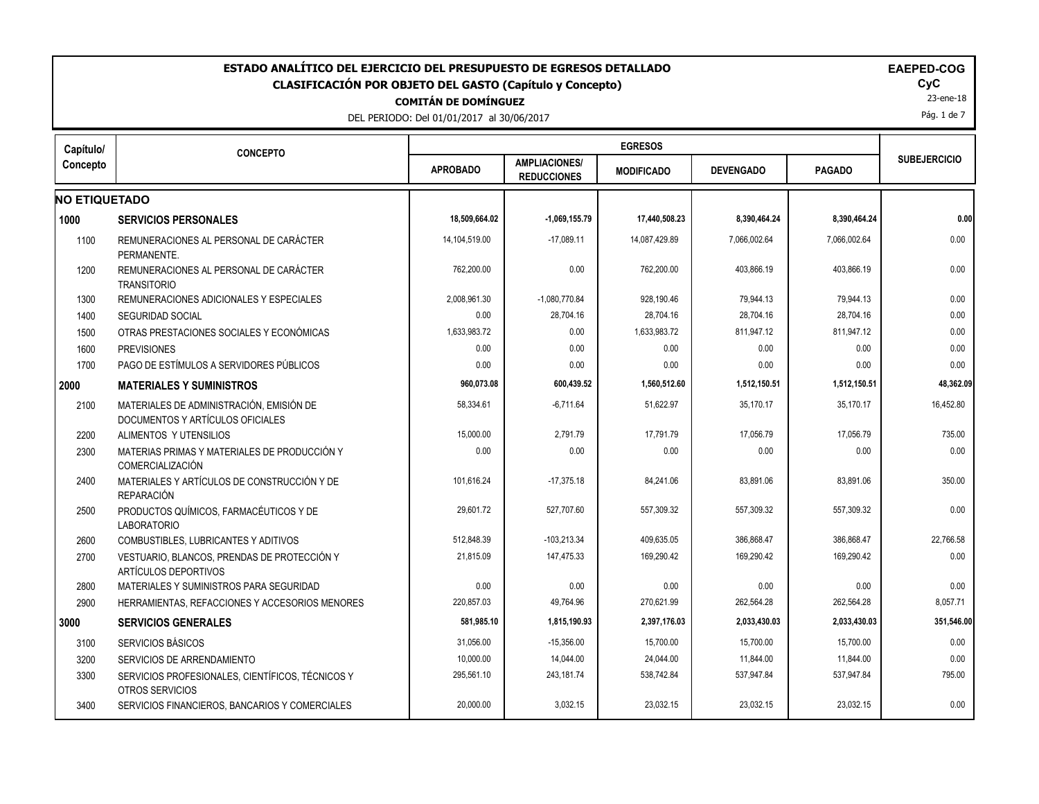| ESTADO ANALÍTICO DEL EJERCICIO DEL PRESUPUESTO DE EGRESOS DETALLADO<br><b>CLASIFICACIÓN POR OBJETO DEL GASTO (Capítulo y Concepto)</b><br><b>COMITÁN DE DOMÍNGUEZ</b><br>DEL PERIODO: Del 01/01/2017 al 30/06/2017 |                                                                              |                 |                                            |                   |                  |               |                     |  |  |
|--------------------------------------------------------------------------------------------------------------------------------------------------------------------------------------------------------------------|------------------------------------------------------------------------------|-----------------|--------------------------------------------|-------------------|------------------|---------------|---------------------|--|--|
| Capítulo/                                                                                                                                                                                                          | <b>CONCEPTO</b>                                                              |                 |                                            | <b>EGRESOS</b>    |                  |               |                     |  |  |
| Concepto                                                                                                                                                                                                           |                                                                              | <b>APROBADO</b> | <b>AMPLIACIONES/</b><br><b>REDUCCIONES</b> | <b>MODIFICADO</b> | <b>DEVENGADO</b> | <b>PAGADO</b> | <b>SUBEJERCICIO</b> |  |  |
| <b>NO ETIQUETADO</b>                                                                                                                                                                                               |                                                                              |                 |                                            |                   |                  |               |                     |  |  |
| 1000                                                                                                                                                                                                               | <b>SERVICIOS PERSONALES</b>                                                  | 18,509,664.02   | $-1,069,155.79$                            | 17,440,508.23     | 8,390,464.24     | 8,390,464.24  | 0.00                |  |  |
| 1100                                                                                                                                                                                                               | REMUNERACIONES AL PERSONAL DE CARÁCTER<br>PERMANENTE.                        | 14,104,519.00   | $-17,089.11$                               | 14,087,429.89     | 7,066,002.64     | 7,066,002.64  | 0.00                |  |  |
| 1200                                                                                                                                                                                                               | REMUNERACIONES AL PERSONAL DE CARÁCTER<br><b>TRANSITORIO</b>                 | 762,200.00      | 0.00                                       | 762,200.00        | 403,866.19       | 403,866.19    | 0.00                |  |  |
| 1300                                                                                                                                                                                                               | REMUNERACIONES ADICIONALES Y ESPECIALES                                      | 2,008,961.30    | $-1,080,770.84$                            | 928,190.46        | 79,944.13        | 79,944.13     | 0.00                |  |  |
| 1400                                                                                                                                                                                                               | <b>SEGURIDAD SOCIAL</b>                                                      | 0.00            | 28,704.16                                  | 28,704.16         | 28,704.16        | 28,704.16     | 0.00                |  |  |
| 1500                                                                                                                                                                                                               | OTRAS PRESTACIONES SOCIALES Y ECONÓMICAS                                     | 1,633,983.72    | 0.00                                       | 1,633,983.72      | 811,947.12       | 811,947.12    | 0.00                |  |  |
| 1600                                                                                                                                                                                                               | <b>PREVISIONES</b>                                                           | 0.00            | 0.00                                       | 0.00              | 0.00             | 0.00          | 0.00                |  |  |
| 1700                                                                                                                                                                                                               | PAGO DE ESTÍMULOS A SERVIDORES PÚBLICOS                                      | 0.00            | 0.00                                       | 0.00              | 0.00             | 0.00          | 0.00                |  |  |
| 2000                                                                                                                                                                                                               | <b>MATERIALES Y SUMINISTROS</b>                                              | 960,073.08      | 600,439.52                                 | 1,560,512.60      | 1,512,150.51     | 1,512,150.51  | 48,362.09           |  |  |
| 2100                                                                                                                                                                                                               | MATERIALES DE ADMINISTRACIÓN. EMISIÓN DE<br>DOCUMENTOS Y ARTÍCULOS OFICIALES | 58,334.61       | $-6,711.64$                                | 51,622.97         | 35,170.17        | 35,170.17     | 16,452.80           |  |  |
| 2200                                                                                                                                                                                                               | ALIMENTOS Y UTENSILIOS                                                       | 15,000.00       | 2,791.79                                   | 17,791.79         | 17,056.79        | 17,056.79     | 735.00              |  |  |
| 2300                                                                                                                                                                                                               | MATERIAS PRIMAS Y MATERIALES DE PRODUCCIÓN Y<br>COMERCIALIZACIÓN             | 0.00            | 0.00                                       | 0.00              | 0.00             | 0.00          | 0.00                |  |  |
| 2400                                                                                                                                                                                                               | MATERIALES Y ARTÍCULOS DE CONSTRUCCIÓN Y DE<br><b>REPARACIÓN</b>             | 101,616.24      | $-17,375.18$                               | 84,241.06         | 83,891.06        | 83,891.06     | 350.00              |  |  |
| 2500                                                                                                                                                                                                               | PRODUCTOS QUÍMICOS, FARMACÉUTICOS Y DE<br><b>LABORATORIO</b>                 | 29,601.72       | 527,707.60                                 | 557,309.32        | 557,309.32       | 557,309.32    | 0.00                |  |  |
| 2600                                                                                                                                                                                                               | COMBUSTIBLES, LUBRICANTES Y ADITIVOS                                         | 512,848.39      | $-103,213.34$                              | 409,635.05        | 386,868.47       | 386,868.47    | 22,766.58           |  |  |
| 2700                                                                                                                                                                                                               | VESTUARIO, BLANCOS, PRENDAS DE PROTECCIÓN Y<br>ARTÍCULOS DEPORTIVOS          | 21,815.09       | 147,475.33                                 | 169,290.42        | 169,290.42       | 169,290.42    | 0.00                |  |  |
| 2800                                                                                                                                                                                                               | MATERIALES Y SUMINISTROS PARA SEGURIDAD                                      | 0.00            | 0.00                                       | 0.00              | 0.00             | 0.00          | 0.00                |  |  |
| 2900                                                                                                                                                                                                               | HERRAMIENTAS, REFACCIONES Y ACCESORIOS MENORES                               | 220,857.03      | 49,764.96                                  | 270,621.99        | 262,564.28       | 262,564.28    | 8,057.71            |  |  |
| 3000                                                                                                                                                                                                               | <b>SERVICIOS GENERALES</b>                                                   | 581,985.10      | 1,815,190.93                               | 2,397,176.03      | 2,033,430.03     | 2,033,430.03  | 351,546.00          |  |  |
| 3100                                                                                                                                                                                                               | SERVICIOS BÁSICOS                                                            | 31,056.00       | $-15,356.00$                               | 15,700.00         | 15,700.00        | 15,700.00     | 0.00                |  |  |
| 3200                                                                                                                                                                                                               | SERVICIOS DE ARRENDAMIENTO                                                   | 10,000.00       | 14,044.00                                  | 24,044.00         | 11,844.00        | 11,844.00     | 0.00                |  |  |
| 3300                                                                                                                                                                                                               | SERVICIOS PROFESIONALES, CIENTÍFICOS, TÉCNICOS Y<br>OTROS SERVICIOS          | 295,561.10      | 243,181.74                                 | 538,742.84        | 537,947.84       | 537,947.84    | 795.00              |  |  |
| 3400                                                                                                                                                                                                               | SERVICIOS FINANCIEROS, BANCARIOS Y COMERCIALES                               | 20,000.00       | 3,032.15                                   | 23,032.15         | 23,032.15        | 23,032.15     | 0.00                |  |  |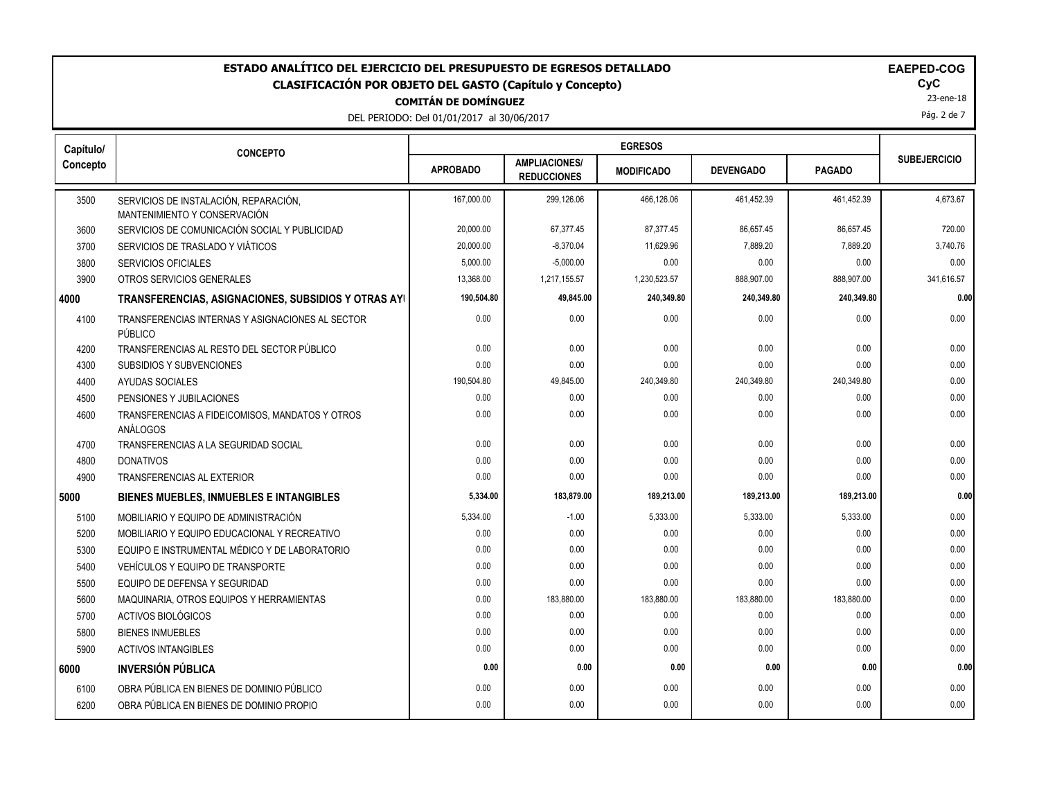DEL PERIODO: Del 01/01/2017 al 30/06/2017

23-ene-18

Pág. 2 de 7

| Capítulo/ | <b>CONCEPTO</b>                                                       |                 |                                            |                   |                  |               |                     |
|-----------|-----------------------------------------------------------------------|-----------------|--------------------------------------------|-------------------|------------------|---------------|---------------------|
| Concepto  |                                                                       | <b>APROBADO</b> | <b>AMPLIACIONES/</b><br><b>REDUCCIONES</b> | <b>MODIFICADO</b> | <b>DEVENGADO</b> | <b>PAGADO</b> | <b>SUBEJERCICIO</b> |
| 3500      | SERVICIOS DE INSTALACIÓN, REPARACIÓN,<br>MANTENIMIENTO Y CONSERVACIÓN | 167.000.00      | 299,126.06                                 | 466,126.06        | 461,452.39       | 461,452.39    | 4,673.67            |
| 3600      | SERVICIOS DE COMUNICACIÓN SOCIAL Y PUBLICIDAD                         | 20,000.00       | 67,377.45                                  | 87,377.45         | 86,657.45        | 86,657.45     | 720.00              |
| 3700      | SERVICIOS DE TRASLADO Y VIÁTICOS                                      | 20.000.00       | $-8,370.04$                                | 11.629.96         | 7.889.20         | 7.889.20      | 3,740.76            |
| 3800      | <b>SERVICIOS OFICIALES</b>                                            | 5,000.00        | $-5,000.00$                                | 0.00              | 0.00             | 0.00          | 0.00                |
| 3900      | OTROS SERVICIOS GENERALES                                             | 13,368.00       | 1,217,155.57                               | 1,230,523.57      | 888,907.00       | 888,907.00    | 341,616.57          |
| 4000      | TRANSFERENCIAS, ASIGNACIONES, SUBSIDIOS Y OTRAS AYI                   | 190,504.80      | 49,845.00                                  | 240,349.80        | 240,349.80       | 240,349.80    | 0.00                |
| 4100      | TRANSFERENCIAS INTERNAS Y ASIGNACIONES AL SECTOR<br>PÚBLICO           | 0.00            | 0.00                                       | 0.00              | 0.00             | 0.00          | 0.00                |
| 4200      | TRANSFERENCIAS AL RESTO DEL SECTOR PÚBLICO                            | 0.00            | 0.00                                       | 0.00              | 0.00             | 0.00          | 0.00                |
| 4300      | SUBSIDIOS Y SUBVENCIONES                                              | 0.00            | 0.00                                       | 0.00              | 0.00             | 0.00          | 0.00                |
| 4400      | AYUDAS SOCIALES                                                       | 190,504.80      | 49,845.00                                  | 240,349.80        | 240,349.80       | 240,349.80    | 0.00                |
| 4500      | PENSIONES Y JUBILACIONES                                              | 0.00            | 0.00                                       | 0.00              | 0.00             | 0.00          | 0.00                |
| 4600      | TRANSFERENCIAS A FIDEICOMISOS, MANDATOS Y OTROS<br>ANÁLOGOS           | 0.00            | 0.00                                       | 0.00              | 0.00             | 0.00          | 0.00                |
| 4700      | TRANSFERENCIAS A LA SEGURIDAD SOCIAL                                  | 0.00            | 0.00                                       | 0.00              | 0.00             | 0.00          | 0.00                |
| 4800      | <b>DONATIVOS</b>                                                      | 0.00            | 0.00                                       | 0.00              | 0.00             | 0.00          | 0.00                |
| 4900      | TRANSFERENCIAS AL EXTERIOR                                            | 0.00            | 0.00                                       | 0.00              | 0.00             | 0.00          | 0.00                |
| 5000      | BIENES MUEBLES, INMUEBLES E INTANGIBLES                               | 5,334.00        | 183,879.00                                 | 189,213.00        | 189,213.00       | 189,213.00    | 0.00                |
| 5100      | MOBILIARIO Y EQUIPO DE ADMINISTRACIÓN                                 | 5,334.00        | $-1.00$                                    | 5,333.00          | 5,333.00         | 5,333.00      | 0.00                |
| 5200      | MOBILIARIO Y EQUIPO EDUCACIONAL Y RECREATIVO                          | 0.00            | 0.00                                       | 0.00              | 0.00             | 0.00          | 0.00                |
| 5300      | EQUIPO E INSTRUMENTAL MÉDICO Y DE LABORATORIO                         | 0.00            | 0.00                                       | 0.00              | 0.00             | 0.00          | 0.00                |
| 5400      | VEHÍCULOS Y EQUIPO DE TRANSPORTE                                      | 0.00            | 0.00                                       | 0.00              | 0.00             | 0.00          | 0.00                |
| 5500      | EQUIPO DE DEFENSA Y SEGURIDAD                                         | 0.00            | 0.00                                       | 0.00              | 0.00             | 0.00          | 0.00                |
| 5600      | MAQUINARIA, OTROS EQUIPOS Y HERRAMIENTAS                              | 0.00            | 183,880.00                                 | 183,880.00        | 183,880.00       | 183,880.00    | 0.00                |
| 5700      | ACTIVOS BIOLÓGICOS                                                    | 0.00            | 0.00                                       | 0.00              | 0.00             | 0.00          | 0.00                |
| 5800      | <b>BIENES INMUEBLES</b>                                               | 0.00            | 0.00                                       | 0.00              | 0.00             | 0.00          | 0.00                |
| 5900      | <b>ACTIVOS INTANGIBLES</b>                                            | 0.00            | 0.00                                       | 0.00              | 0.00             | 0.00          | 0.00                |
| 6000      | <b>INVERSIÓN PÚBLICA</b>                                              | 0.00            | 0.00                                       | 0.00              | 0.00             | 0.00          | 0.00                |
| 6100      | OBRA PÚBLICA EN BIENES DE DOMINIO PÚBLICO                             | 0.00            | 0.00                                       | 0.00              | 0.00             | 0.00          | 0.00                |
| 6200      | OBRA PÚBLICA EN BIENES DE DOMINIO PROPIO                              | 0.00            | 0.00                                       | 0.00              | 0.00             | 0.00          | 0.00                |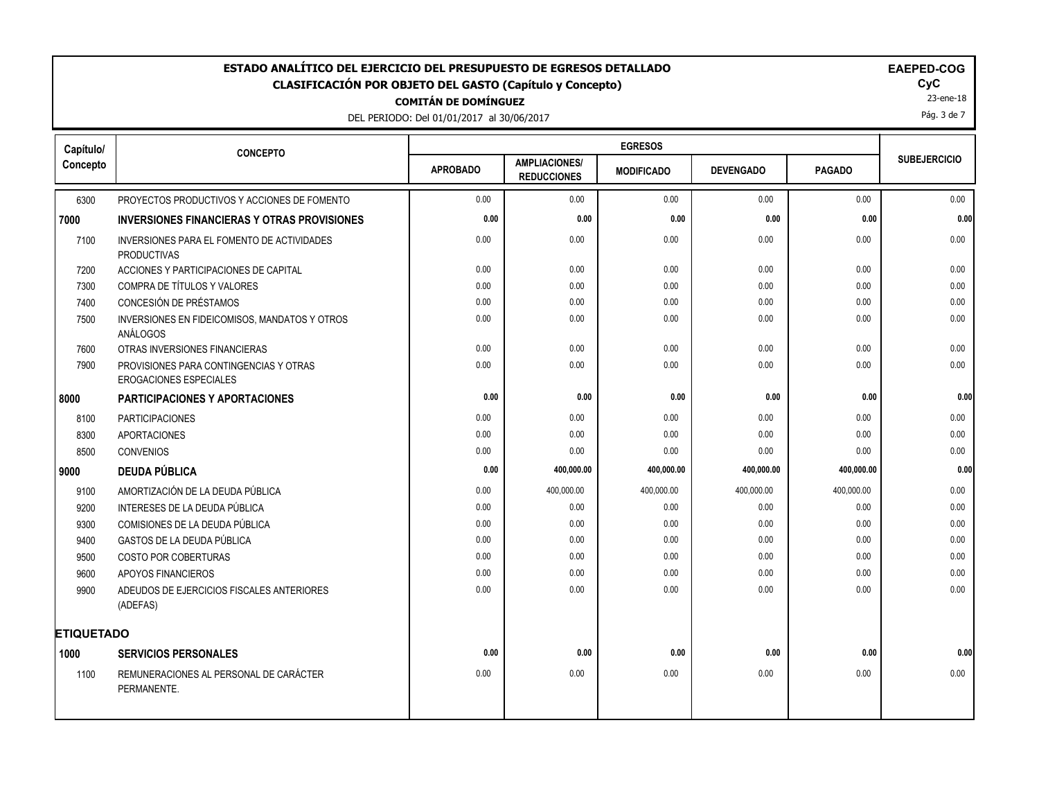# DEL PERIODO: Del 01/01/2017 al 30/06/2017 **COMITÁN DE DOMÍNGUEZ ESTADO ANALÍTICO DEL EJERCICIO DEL PRESUPUESTO DE EGRESOS DETALLADO EAEPED-COG CLASIFICACIÓN POR OBJETO DEL GASTO (Capítulo y Concepto) CyC**

| Capítulo/         | <b>CONCEPTO</b>                                                         |                 |                                            |                   |                  |               |                     |
|-------------------|-------------------------------------------------------------------------|-----------------|--------------------------------------------|-------------------|------------------|---------------|---------------------|
| Concepto          |                                                                         | <b>APROBADO</b> | <b>AMPLIACIONES/</b><br><b>REDUCCIONES</b> | <b>MODIFICADO</b> | <b>DEVENGADO</b> | <b>PAGADO</b> | <b>SUBEJERCICIO</b> |
| 6300              | PROYECTOS PRODUCTIVOS Y ACCIONES DE FOMENTO                             | 0.00            | 0.00                                       | 0.00              | 0.00             | 0.00          | 0.00                |
| 7000              | <b>INVERSIONES FINANCIERAS Y OTRAS PROVISIONES</b>                      | 0.00            | 0.00                                       | 0.00              | 0.00             | 0.00          | 0.00                |
| 7100              | INVERSIONES PARA EL FOMENTO DE ACTIVIDADES<br><b>PRODUCTIVAS</b>        | 0.00            | 0.00                                       | 0.00              | 0.00             | 0.00          | 0.00                |
| 7200              | ACCIONES Y PARTICIPACIONES DE CAPITAL                                   | 0.00            | 0.00                                       | 0.00              | 0.00             | 0.00          | 0.00                |
| 7300              | COMPRA DE TÍTULOS Y VALORES                                             | 0.00            | 0.00                                       | 0.00              | 0.00             | 0.00          | 0.00                |
| 7400              | CONCESIÓN DE PRÉSTAMOS                                                  | 0.00            | 0.00                                       | 0.00              | 0.00             | 0.00          | 0.00                |
| 7500              | INVERSIONES EN FIDEICOMISOS, MANDATOS Y OTROS<br>ANÁLOGOS               | 0.00            | 0.00                                       | 0.00              | 0.00             | 0.00          | 0.00                |
| 7600              | OTRAS INVERSIONES FINANCIERAS                                           | 0.00            | 0.00                                       | 0.00              | 0.00             | 0.00          | 0.00                |
| 7900              | PROVISIONES PARA CONTINGENCIAS Y OTRAS<br><b>EROGACIONES ESPECIALES</b> | 0.00            | 0.00                                       | 0.00              | 0.00             | 0.00          | 0.00                |
| 8000              | PARTICIPACIONES Y APORTACIONES                                          | 0.00            | 0.00                                       | 0.00              | 0.00             | 0.00          | 0.00                |
| 8100              | <b>PARTICIPACIONES</b>                                                  | 0.00            | 0.00                                       | 0.00              | 0.00             | 0.00          | 0.00                |
| 8300              | <b>APORTACIONES</b>                                                     | 0.00            | 0.00                                       | 0.00              | 0.00             | 0.00          | 0.00                |
| 8500              | <b>CONVENIOS</b>                                                        | 0.00            | 0.00                                       | 0.00              | 0.00             | 0.00          | 0.00                |
| 9000              | <b>DEUDA PÚBLICA</b>                                                    | 0.00            | 400,000.00                                 | 400,000.00        | 400,000.00       | 400,000.00    | 0.00                |
| 9100              | AMORTIZACIÓN DE LA DEUDA PÚBLICA                                        | 0.00            | 400,000.00                                 | 400,000.00        | 400,000.00       | 400,000.00    | 0.00                |
| 9200              | INTERESES DE LA DEUDA PÚBLICA                                           | 0.00            | 0.00                                       | 0.00              | 0.00             | 0.00          | 0.00                |
| 9300              | COMISIONES DE LA DEUDA PÚBLICA                                          | 0.00            | 0.00                                       | 0.00              | 0.00             | 0.00          | 0.00                |
| 9400              | GASTOS DE LA DEUDA PÚBLICA                                              | 0.00            | 0.00                                       | 0.00              | 0.00             | 0.00          | 0.00                |
| 9500              | COSTO POR COBERTURAS                                                    | 0.00            | 0.00                                       | 0.00              | 0.00             | 0.00          | 0.00                |
| 9600              | APOYOS FINANCIEROS                                                      | 0.00            | 0.00                                       | 0.00              | 0.00             | 0.00          | 0.00                |
| 9900              | ADEUDOS DE EJERCICIOS FISCALES ANTERIORES<br>(ADEFAS)                   | 0.00            | 0.00                                       | 0.00              | 0.00             | 0.00          | 0.00                |
| <b>ETIQUETADO</b> |                                                                         |                 |                                            |                   |                  |               |                     |
| 1000              | <b>SERVICIOS PERSONALES</b>                                             | 0.00            | 0.00                                       | 0.00              | 0.00             | 0.00          | 0.00                |
| 1100              | REMUNERACIONES AL PERSONAL DE CARÁCTER<br>PERMANENTE.                   | 0.00            | 0.00                                       | 0.00              | 0.00             | 0.00          | 0.00                |
|                   |                                                                         |                 |                                            |                   |                  |               |                     |

23-ene-18

Pág. 3 de 7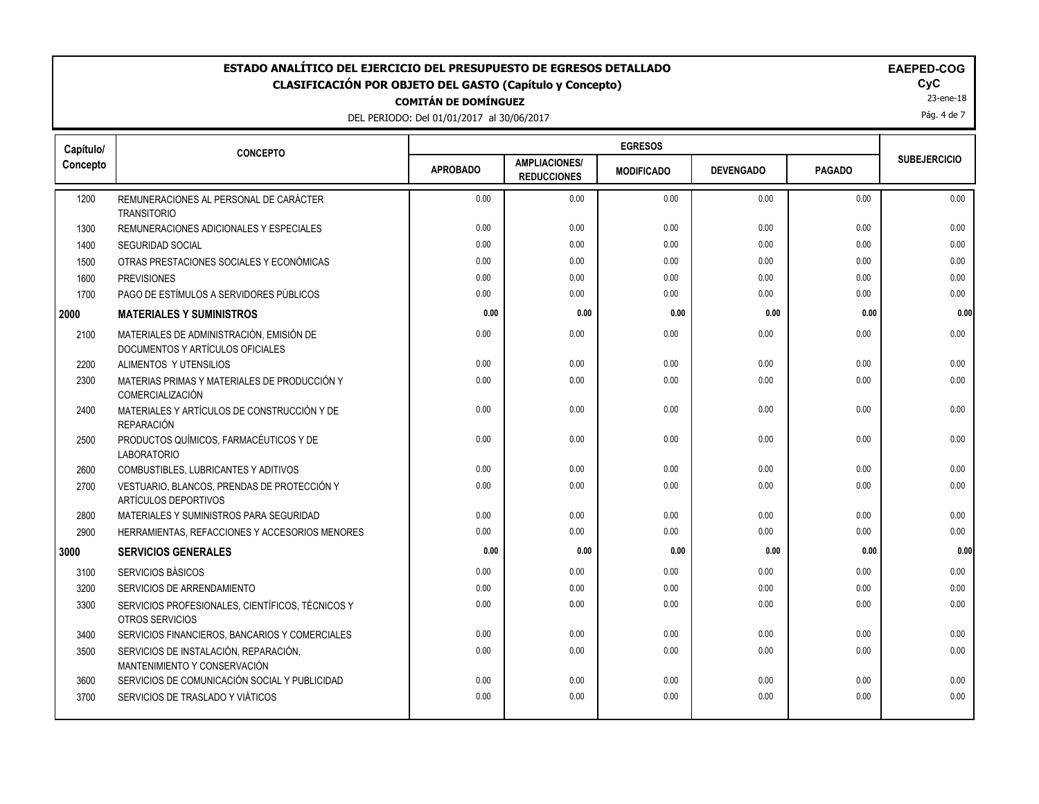DEL PERIODO: Del 01/01/2017 al 30/06/2017

23-ene-18

Pág. 4 de 7

| Capítulo/ | <b>CONCEPTO</b>                                                              |                 |                                            |                   |                  |               |                     |
|-----------|------------------------------------------------------------------------------|-----------------|--------------------------------------------|-------------------|------------------|---------------|---------------------|
| Concepto  |                                                                              | <b>APROBADO</b> | <b>AMPLIACIONES/</b><br><b>REDUCCIONES</b> | <b>MODIFICADO</b> | <b>DEVENGADO</b> | <b>PAGADO</b> | <b>SUBEJERCICIO</b> |
| 1200      | REMUNERACIONES AL PERSONAL DE CARÁCTER<br><b>TRANSITORIO</b>                 | 0.00            | 0.00                                       | 0.00              | 0.00             | 0.00          | 0.00                |
| 1300      | REMUNERACIONES ADICIONALES Y ESPECIALES                                      | 0.00            | 0.00                                       | 0.00              | 0.00             | 0.00          | 0.00                |
| 1400      | <b>SEGURIDAD SOCIAL</b>                                                      | 0.00            | 0.00                                       | 0.00              | 0.00             | 0.00          | 0.00                |
| 1500      | OTRAS PRESTACIONES SOCIALES Y ECONÓMICAS                                     | 0.00            | 0.00                                       | 0.00              | 0.00             | 0.00          | 0.00                |
| 1600      | <b>PREVISIONES</b>                                                           | 0.00            | 0.00                                       | 0.00              | 0.00             | 0.00          | 0.00                |
| 1700      | PAGO DE ESTÍMULOS A SERVIDORES PÚBLICOS                                      | 0.00            | 0.00                                       | 0.00              | 0.00             | 0.00          | 0.00                |
| 2000      | <b>MATERIALES Y SUMINISTROS</b>                                              | 0.00            | 0.00                                       | 0.00              | 0.00             | 0.00          | 0.00                |
| 2100      | MATERIALES DE ADMINISTRACIÓN, EMISIÓN DE<br>DOCUMENTOS Y ARTÍCULOS OFICIALES | 0.00            | 0.00                                       | 0.00              | 0.00             | 0.00          | 0.00                |
| 2200      | ALIMENTOS Y UTENSILIOS                                                       | 0.00            | 0.00                                       | 0.00              | 0.00             | 0.00          | 0.00                |
| 2300      | MATERIAS PRIMAS Y MATERIALES DE PRODUCCIÓN Y<br><b>COMERCIALIZACIÓN</b>      | 0.00            | 0.00                                       | 0.00              | 0.00             | 0.00          | 0.00                |
| 2400      | MATERIALES Y ARTÍCULOS DE CONSTRUCCIÓN Y DE<br><b>REPARACIÓN</b>             | 0.00            | 0.00                                       | 0.00              | 0.00             | 0.00          | 0.00                |
| 2500      | PRODUCTOS QUÍMICOS, FARMACÉUTICOS Y DE<br><b>LABORATORIO</b>                 | 0.00            | 0.00                                       | 0.00              | 0.00             | 0.00          | 0.00                |
| 2600      | COMBUSTIBLES, LUBRICANTES Y ADITIVOS                                         | 0.00            | 0.00                                       | 0.00              | 0.00             | 0.00          | 0.00                |
| 2700      | VESTUARIO, BLANCOS, PRENDAS DE PROTECCIÓN Y<br>ARTÍCULOS DEPORTIVOS          | 0.00            | 0.00                                       | 0.00              | 0.00             | 0.00          | 0.00                |
| 2800      | MATERIALES Y SUMINISTROS PARA SEGURIDAD                                      | 0.00            | 0.00                                       | 0.00              | 0.00             | 0.00          | 0.00                |
| 2900      | HERRAMIENTAS, REFACCIONES Y ACCESORIOS MENORES                               | 0.00            | 0.00                                       | 0.00              | 0.00             | 0.00          | 0.00                |
| 3000      | <b>SERVICIOS GENERALES</b>                                                   | 0.00            | 0.00                                       | 0.00              | 0.00             | 0.00          | 0.00                |
| 3100      | SERVICIOS BÁSICOS                                                            | 0.00            | 0.00                                       | 0.00              | 0.00             | 0.00          | 0.00                |
| 3200      | SERVICIOS DE ARRENDAMIENTO                                                   | 0.00            | 0.00                                       | 0.00              | 0.00             | 0.00          | 0.00                |
| 3300      | SERVICIOS PROFESIONALES, CIENTÍFICOS, TÉCNICOS Y<br>OTROS SERVICIOS          | 0.00            | 0.00                                       | 0.00              | 0.00             | 0.00          | 0.00                |
| 3400      | SERVICIOS FINANCIEROS, BANCARIOS Y COMERCIALES                               | 0.00            | 0.00                                       | 0.00              | 0.00             | 0.00          | 0.00                |
| 3500      | SERVICIOS DE INSTALACIÓN, REPARACIÓN,<br>MANTENIMIENTO Y CONSERVACIÓN        | 0.00            | 0.00                                       | 0.00              | 0.00             | 0.00          | 0.00                |
| 3600      | SERVICIOS DE COMUNICACIÓN SOCIAL Y PUBLICIDAD                                | 0.00            | 0.00                                       | 0.00              | 0.00             | 0.00          | 0.00                |
| 3700      | SERVICIOS DE TRASLADO Y VIÁTICOS                                             | 0.00            | 0.00                                       | 0.00              | 0.00             | 0.00          | 0.00                |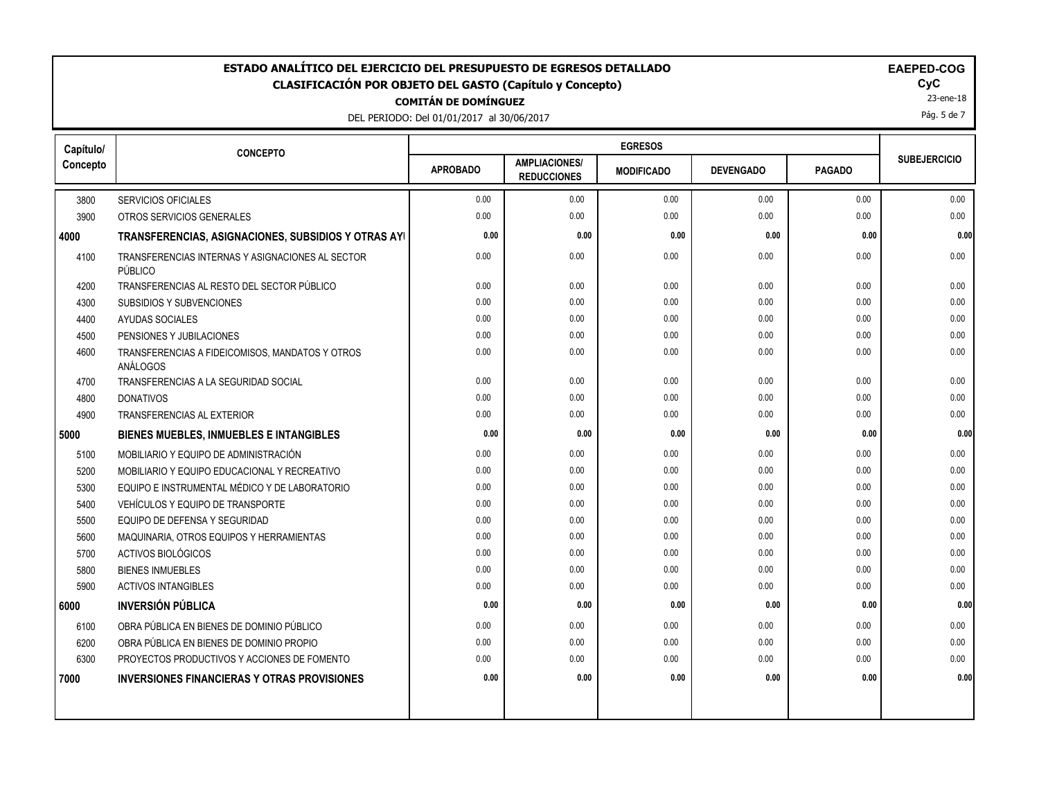DEL PERIODO: Del 01/01/2017 al 30/06/2017

23-ene-18

Pág. 5 de 7

| Capítulo/ | <b>CONCEPTO</b>                                             |                 |                                            |                   |                  |               |                     |
|-----------|-------------------------------------------------------------|-----------------|--------------------------------------------|-------------------|------------------|---------------|---------------------|
| Concepto  |                                                             | <b>APROBADO</b> | <b>AMPLIACIONES/</b><br><b>REDUCCIONES</b> | <b>MODIFICADO</b> | <b>DEVENGADO</b> | <b>PAGADO</b> | <b>SUBEJERCICIO</b> |
| 3800      | <b>SERVICIOS OFICIALES</b>                                  | 0.00            | 0.00                                       | 0.00              | 0.00             | 0.00          | 0.00                |
| 3900      | OTROS SERVICIOS GENERALES                                   | 0.00            | 0.00                                       | 0.00              | 0.00             | 0.00          | 0.00                |
| 4000      | TRANSFERENCIAS, ASIGNACIONES, SUBSIDIOS Y OTRAS AYI         | 0.00            | 0.00                                       | 0.00              | 0.00             | 0.00          | 0.00                |
| 4100      | TRANSFERENCIAS INTERNAS Y ASIGNACIONES AL SECTOR<br>PÚBLICO | 0.00            | 0.00                                       | 0.00              | 0.00             | 0.00          | 0.00                |
| 4200      | TRANSFERENCIAS AL RESTO DEL SECTOR PÚBLICO                  | 0.00            | 0.00                                       | 0.00              | 0.00             | 0.00          | 0.00                |
| 4300      | <b>SUBSIDIOS Y SUBVENCIONES</b>                             | 0.00            | 0.00                                       | 0.00              | 0.00             | 0.00          | 0.00                |
| 4400      | AYUDAS SOCIALES                                             | 0.00            | 0.00                                       | 0.00              | 0.00             | 0.00          | 0.00                |
| 4500      | PENSIONES Y JUBILACIONES                                    | 0.00            | 0.00                                       | 0.00              | 0.00             | 0.00          | 0.00                |
| 4600      | TRANSFERENCIAS A FIDEICOMISOS, MANDATOS Y OTROS<br>ANÁLOGOS | 0.00            | 0.00                                       | 0.00              | 0.00             | 0.00          | 0.00                |
| 4700      | TRANSFERENCIAS A LA SEGURIDAD SOCIAL                        | 0.00            | 0.00                                       | 0.00              | 0.00             | 0.00          | 0.00                |
| 4800      | <b>DONATIVOS</b>                                            | 0.00            | 0.00                                       | 0.00              | 0.00             | 0.00          | 0.00                |
| 4900      | <b>TRANSFERENCIAS AL EXTERIOR</b>                           | 0.00            | 0.00                                       | 0.00              | 0.00             | 0.00          | 0.00                |
| 5000      | <b>BIENES MUEBLES, INMUEBLES E INTANGIBLES</b>              | 0.00            | 0.00                                       | 0.00              | 0.00             | 0.00          | 0.00                |
| 5100      | MOBILIARIO Y EQUIPO DE ADMINISTRACIÓN                       | 0.00            | 0.00                                       | 0.00              | 0.00             | 0.00          | 0.00                |
| 5200      | MOBILIARIO Y EQUIPO EDUCACIONAL Y RECREATIVO                | 0.00            | 0.00                                       | 0.00              | 0.00             | 0.00          | 0.00                |
| 5300      | EQUIPO E INSTRUMENTAL MÉDICO Y DE LABORATORIO               | 0.00            | 0.00                                       | 0.00              | 0.00             | 0.00          | 0.00                |
| 5400      | VEHÍCULOS Y EQUIPO DE TRANSPORTE                            | 0.00            | 0.00                                       | 0.00              | 0.00             | 0.00          | 0.00                |
| 5500      | EQUIPO DE DEFENSA Y SEGURIDAD                               | 0.00            | 0.00                                       | 0.00              | 0.00             | 0.00          | 0.00                |
| 5600      | MAQUINARIA, OTROS EQUIPOS Y HERRAMIENTAS                    | 0.00            | 0.00                                       | 0.00              | 0.00             | 0.00          | 0.00                |
| 5700      | ACTIVOS BIOLÓGICOS                                          | 0.00            | 0.00                                       | 0.00              | 0.00             | 0.00          | 0.00                |
| 5800      | <b>BIENES INMUEBLES</b>                                     | 0.00            | 0.00                                       | 0.00              | 0.00             | 0.00          | 0.00                |
| 5900      | <b>ACTIVOS INTANGIBLES</b>                                  | 0.00            | 0.00                                       | 0.00              | 0.00             | 0.00          | 0.00                |
| 6000      | <b>INVERSIÓN PÚBLICA</b>                                    | 0.00            | 0.00                                       | 0.00              | 0.00             | 0.00          | 0.00                |
| 6100      | OBRA PÚBLICA EN BIENES DE DOMINIO PÚBLICO                   | 0.00            | 0.00                                       | 0.00              | 0.00             | 0.00          | 0.00                |
| 6200      | OBRA PÚBLICA EN BIENES DE DOMINIO PROPIO                    | 0.00            | 0.00                                       | 0.00              | 0.00             | 0.00          | 0.00                |
| 6300      | PROYECTOS PRODUCTIVOS Y ACCIONES DE FOMENTO                 | 0.00            | 0.00                                       | 0.00              | 0.00             | 0.00          | 0.00                |
| 7000      | <b>INVERSIONES FINANCIERAS Y OTRAS PROVISIONES</b>          | 0.00            | 0.00                                       | 0.00              | 0.00             | 0.00          | 0.00                |
|           |                                                             |                 |                                            |                   |                  |               |                     |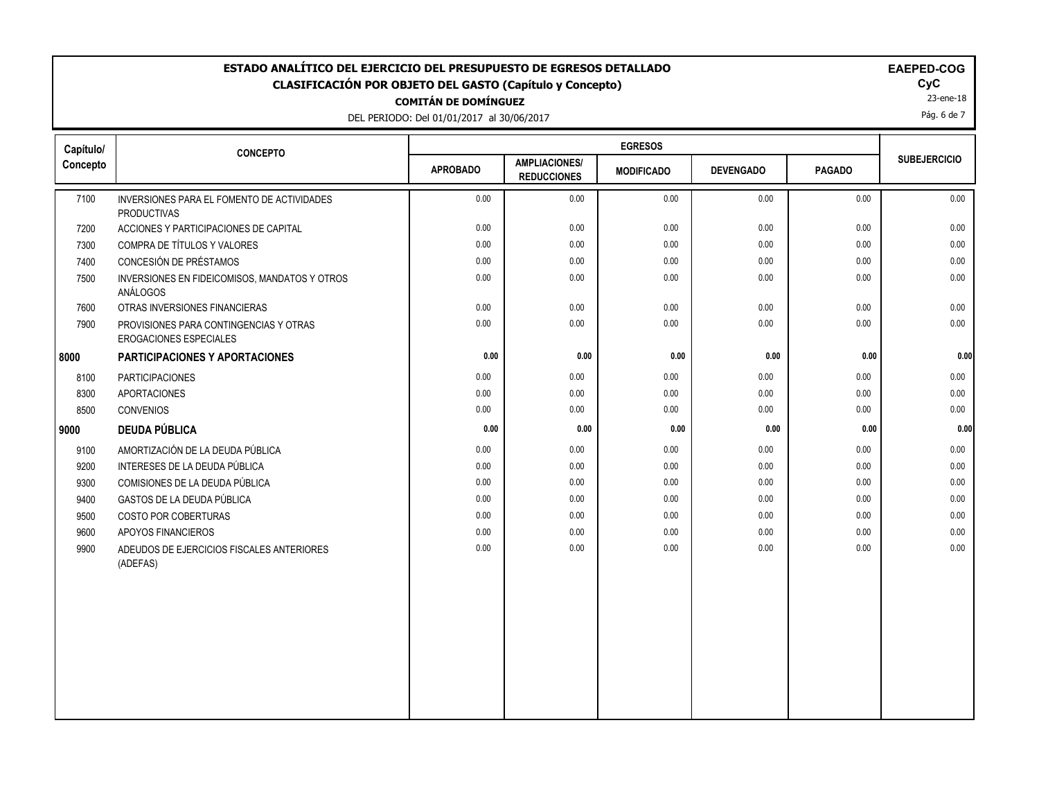DEL PERIODO: De

| ITÀN DE DOMÍNGUEZ           |                |  |
|-----------------------------|----------------|--|
| el 01/01/2017 al 30/06/2017 |                |  |
|                             | <b>EGRESOS</b> |  |
|                             |                |  |

|  |  | EAE |
|--|--|-----|
|  |  |     |
|  |  |     |

23-ene-18 Pág. 6 de 7

| Capítulo/ | <b>CONCEPTO</b>                                                         |                 |                                            |                   |                  |               |                     |
|-----------|-------------------------------------------------------------------------|-----------------|--------------------------------------------|-------------------|------------------|---------------|---------------------|
| Concepto  |                                                                         | <b>APROBADO</b> | <b>AMPLIACIONES/</b><br><b>REDUCCIONES</b> | <b>MODIFICADO</b> | <b>DEVENGADO</b> | <b>PAGADO</b> | <b>SUBEJERCICIO</b> |
| 7100      | INVERSIONES PARA EL FOMENTO DE ACTIVIDADES<br><b>PRODUCTIVAS</b>        | 0.00            | 0.00                                       | 0.00              | 0.00             | 0.00          | 0.00                |
| 7200      | ACCIONES Y PARTICIPACIONES DE CAPITAL                                   | 0.00            | 0.00                                       | 0.00              | 0.00             | 0.00          | 0.00                |
| 7300      | COMPRA DE TÍTULOS Y VALORES                                             | 0.00            | 0.00                                       | 0.00              | 0.00             | 0.00          | 0.00                |
| 7400      | CONCESIÓN DE PRÉSTAMOS                                                  | 0.00            | 0.00                                       | 0.00              | 0.00             | 0.00          | 0.00                |
| 7500      | INVERSIONES EN FIDEICOMISOS, MANDATOS Y OTROS<br>ANÁLOGOS               | 0.00            | 0.00                                       | 0.00              | 0.00             | 0.00          | 0.00                |
| 7600      | OTRAS INVERSIONES FINANCIERAS                                           | 0.00            | 0.00                                       | 0.00              | 0.00             | 0.00          | 0.00                |
| 7900      | PROVISIONES PARA CONTINGENCIAS Y OTRAS<br><b>EROGACIONES ESPECIALES</b> | 0.00            | 0.00                                       | 0.00              | 0.00             | 0.00          | 0.00                |
| 8000      | <b>PARTICIPACIONES Y APORTACIONES</b>                                   | 0.00            | 0.00                                       | 0.00              | 0.00             | 0.00          | 0.00                |
| 8100      | <b>PARTICIPACIONES</b>                                                  | 0.00            | 0.00                                       | 0.00              | 0.00             | 0.00          | 0.00                |
| 8300      | <b>APORTACIONES</b>                                                     | 0.00            | 0.00                                       | 0.00              | 0.00             | 0.00          | 0.00                |
| 8500      | <b>CONVENIOS</b>                                                        | 0.00            | 0.00                                       | 0.00              | 0.00             | 0.00          | 0.00                |
| 9000      | <b>DEUDA PÚBLICA</b>                                                    | 0.00            | 0.00                                       | 0.00              | 0.00             | 0.00          | 0.00                |
| 9100      | AMORTIZACIÓN DE LA DEUDA PÚBLICA                                        | 0.00            | 0.00                                       | 0.00              | 0.00             | 0.00          | 0.00                |
| 9200      | INTERESES DE LA DEUDA PÚBLICA                                           | 0.00            | 0.00                                       | 0.00              | 0.00             | 0.00          | 0.00                |
| 9300      | COMISIONES DE LA DEUDA PÚBLICA                                          | 0.00            | 0.00                                       | 0.00              | 0.00             | 0.00          | 0.00                |
| 9400      | GASTOS DE LA DEUDA PÚBLICA                                              | 0.00            | 0.00                                       | 0.00              | 0.00             | 0.00          | 0.00                |
| 9500      | <b>COSTO POR COBERTURAS</b>                                             | 0.00            | 0.00                                       | 0.00              | 0.00             | 0.00          | 0.00                |
| 9600      | APOYOS FINANCIEROS                                                      | 0.00            | 0.00                                       | 0.00              | 0.00             | 0.00          | 0.00                |
| 9900      | ADEUDOS DE EJERCICIOS FISCALES ANTERIORES<br>(ADEFAS)                   | 0.00            | 0.00                                       | 0.00              | 0.00             | 0.00          | 0.00                |
|           |                                                                         |                 |                                            |                   |                  |               |                     |